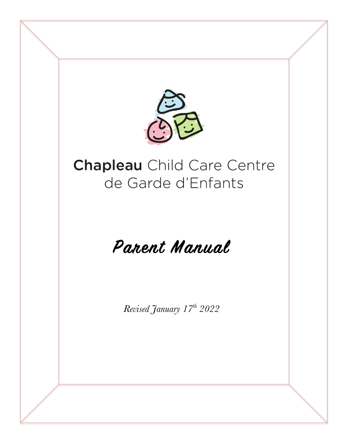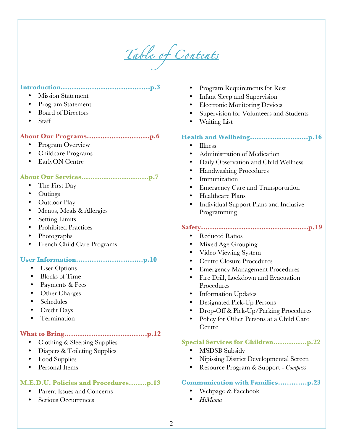*Table of Contents* 

# **Introduction………………………………....p.3**

- Mission Statement
- Program Statement
- Board of Directors
- Staff

# **About Our Programs……………………....p.6**

- Program Overview
- Childcare Programs
- EarlyON Centre

# **About Our Services…………………………p.7**

- The First Day
- Outings
- Outdoor Play
- Menus, Meals & Allergies
- **Setting Limits**
- Prohibited Practices
- Photographs
- French Child Care Programs

# **User Information…………………………p.10**

- User Options
- Blocks of Time
- Payments & Fees
- Other Charges
- Schedules
- Credit Days
- Termination

### **What to Bring……………………………….p.12**

- Clothing & Sleeping Supplies
- Diapers & Toileting Supplies
- Food Supplies
- Personal Items

### **M.E.D.U. Policies and Procedures….….p.13**

- Parent Issues and Concerns
- Serious Occurrences
- Program Requirements for Rest
- Infant Sleep and Supervision
- Electronic Monitoring Devices
- Supervision for Volunteers and Students
- Waiting List

### **Health and Wellbeing……………………..p.16**

- Illness
- Administration of Medication
- Daily Observation and Child Wellness
- Handwashing Procedures
- **Immunization**
- Emergency Care and Transportation
- Healthcare Plans
- Individual Support Plans and Inclusive Programming

# **Safety……………………………………..….p.19**

- Reduced Ratios
- Mixed Age Grouping
- Video Viewing System
- Centre Closure Procedures
- Emergency Management Procedures
- Fire Drill, Lockdown and Evacuation Procedures
- Information Updates
- Designated Pick-Up Persons
- Drop-Off & Pick-Up/Parking Procedures
- Policy for Other Persons at a Child Care Centre

#### **Special Services for Children……………p.22**

- MSDSB Subsidy
- Nipissing District Developmental Screen
- Resource Program & Support *Compass*

### **Communication with Families………....p.23**

- Webpage & Facebook
- *HiMama*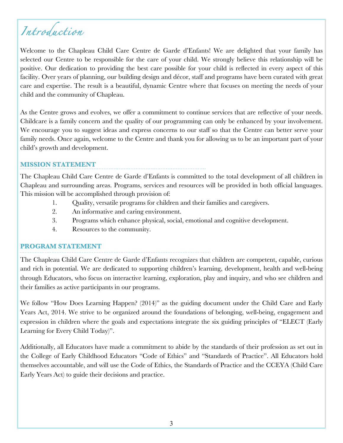# *Introduction*

Welcome to the Chapleau Child Care Centre de Garde d'Enfants! We are delighted that your family has selected our Centre to be responsible for the care of your child. We strongly believe this relationship will be positive. Our dedication to providing the best care possible for your child is reflected in every aspect of this facility. Over years of planning, our building design and décor, staff and programs have been curated with great care and expertise. The result is a beautiful, dynamic Centre where that focuses on meeting the needs of your child and the community of Chapleau.

As the Centre grows and evolves, we offer a commitment to continue services that are reflective of your needs. Childcare is a family concern and the quality of our programming can only be enhanced by your involvement. We encourage you to suggest ideas and express concerns to our staff so that the Centre can better serve your family needs. Once again, welcome to the Centre and thank you for allowing us to be an important part of your child's growth and development.

### **MISSION STATEMENT**

The Chapleau Child Care Centre de Garde d'Enfants is committed to the total development of all children in Chapleau and surrounding areas. Programs, services and resources will be provided in both official languages. This mission will be accomplished through provision of:

- 1. Quality, versatile programs for children and their families and caregivers.
- 2. An informative and caring environment.
- 3. Programs which enhance physical, social, emotional and cognitive development.
- 4. Resources to the community.

### **PROGRAM STATEMENT**

The Chapleau Child Care Centre de Garde d'Enfants recognizes that children are competent, capable, curious and rich in potential. We are dedicated to supporting children's learning, development, health and well-being through Educators, who focus on interactive learning, exploration, play and inquiry, and who see children and their families as active participants in our programs.

We follow "How Does Learning Happen? (2014)" as the guiding document under the Child Care and Early Years Act, 2014. We strive to be organized around the foundations of belonging, well-being, engagement and expression in children where the goals and expectations integrate the six guiding principles of "ELECT (Early Learning for Every Child Today)".

Additionally, all Educators have made a commitment to abide by the standards of their profession as set out in the College of Early Childhood Educators "Code of Ethics" and "Standards of Practice". All Educators hold themselves accountable, and will use the Code of Ethics, the Standards of Practice and the CCEYA (Child Care Early Years Act) to guide their decisions and practice.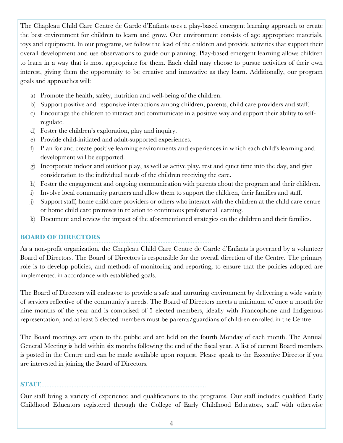The Chapleau Child Care Centre de Garde d'Enfants uses a play-based emergent learning approach to create the best environment for children to learn and grow. Our environment consists of age appropriate materials, toys and equipment. In our programs, we follow the lead of the children and provide activities that support their overall development and use observations to guide our planning. Play-based emergent learning allows children to learn in a way that is most appropriate for them. Each child may choose to pursue activities of their own interest, giving them the opportunity to be creative and innovative as they learn. Additionally, our program goals and approaches will:

- a) Promote the health, safety, nutrition and well-being of the children.
- b) Support positive and responsive interactions among children, parents, child care providers and staff.
- c) Encourage the children to interact and communicate in a positive way and support their ability to selfregulate.
- d) Foster the children's exploration, play and inquiry.
- e) Provide child-initiated and adult-supported experiences.
- f) Plan for and create positive learning environments and experiences in which each child's learning and development will be supported.
- g) Incorporate indoor and outdoor play, as well as active play, rest and quiet time into the day, and give consideration to the individual needs of the children receiving the care.
- h) Foster the engagement and ongoing communication with parents about the program and their children.
- i) Involve local community partners and allow them to support the children, their families and staff.
- j) Support staff, home child care providers or others who interact with the children at the child care centre or home child care premises in relation to continuous professional learning.
- k) Document and review the impact of the aforementioned strategies on the children and their families.

# **BOARD OF DIRECTORS**

As a non-profit organization, the Chapleau Child Care Centre de Garde d'Enfants is governed by a volunteer Board of Directors. The Board of Directors is responsible for the overall direction of the Centre. The primary role is to develop policies, and methods of monitoring and reporting, to ensure that the policies adopted are implemented in accordance with established goals.

The Board of Directors will endeavor to provide a safe and nurturing environment by delivering a wide variety of services reflective of the community's needs. The Board of Directors meets a minimum of once a month for nine months of the year and is comprised of 5 elected members, ideally with Francophone and Indigenous representation, and at least 3 elected members must be parents/guardians of children enrolled in the Centre.

The Board meetings are open to the public and are held on the fourth Monday of each month. The Annual General Meeting is held within six months following the end of the fiscal year. A list of current Board members is posted in the Centre and can be made available upon request. Please speak to the Executive Director if you are interested in joining the Board of Directors.

**STAFF**

Our staff bring a variety of experience and qualifications to the programs. Our staff includes qualified Early Childhood Educators registered through the College of Early Childhood Educators, staff with otherwise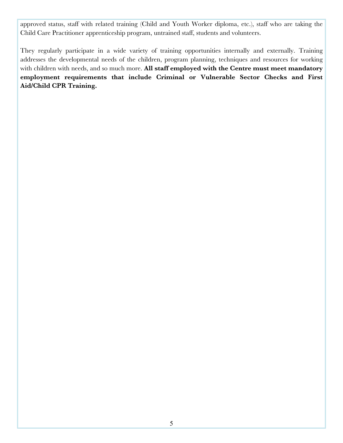approved status, staff with related training (Child and Youth Worker diploma, etc.), staff who are taking the Child Care Practitioner apprenticeship program, untrained staff, students and volunteers.

They regularly participate in a wide variety of training opportunities internally and externally. Training addresses the developmental needs of the children, program planning, techniques and resources for working with children with needs, and so much more. **All staff employed with the Centre must meet mandatory employment requirements that include Criminal or Vulnerable Sector Checks and First Aid/Child CPR Training.**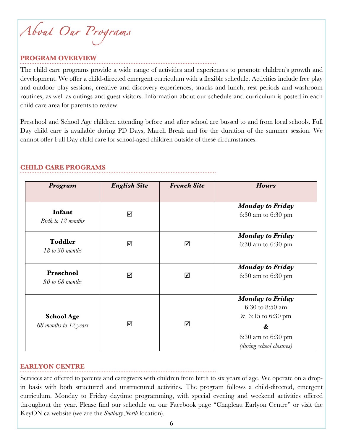*About Our Programs* 

#### **PROGRAM OVERVIEW**

The child care programs provide a wide range of activities and experiences to promote children's growth and development. We offer a child-directed emergent curriculum with a flexible schedule. Activities include free play and outdoor play sessions, creative and discovery experiences, snacks and lunch, rest periods and washroom routines, as well as outings and guest visitors. Information about our schedule and curriculum is posted in each child care area for parents to review.

Preschool and School Age children attending before and after school are bussed to and from local schools. Full Day child care is available during PD Days, March Break and for the duration of the summer session. We cannot offer Full Day child care for school-aged children outside of these circumstances.

| Program                                    | <b>English Site</b> | <b>French Site</b> | <b>Hours</b>                                                                                                               |
|--------------------------------------------|---------------------|--------------------|----------------------------------------------------------------------------------------------------------------------------|
| Infant<br>Birth to 18 months               | ☑                   |                    | <b>Monday to Friday</b><br>$6:30$ am to $6:30$ pm                                                                          |
| <b>Toddler</b><br>18 to 30 months          | ☑                   | ☑                  | <b>Monday to Friday</b><br>6:30 am to 6:30 pm                                                                              |
| Preschool<br>$30$ to 68 months             | ☑                   | ☑                  | <b>Monday to Friday</b><br>6:30 am to 6:30 pm                                                                              |
| <b>School Age</b><br>68 months to 12 years | ☑                   | ☑                  | <b>Monday to Friday</b><br>6:30 to 8:50 am<br>& 3:15 to 6:30 pm<br>&<br>$6:30$ am to $6:30$ pm<br>(during school closures) |

#### **CHILD CARE PROGRAMS**

#### **EARLYON CENTRE**

Services are offered to parents and caregivers with children from birth to six years of age. We operate on a dropin basis with both structured and unstructured activities. The program follows a child-directed, emergent curriculum. Monday to Friday daytime programming, with special evening and weekend activities offered throughout the year. Please find our schedule on our Facebook page "Chapleau Earlyon Centre" or visit the KeyON.ca website (we are the *Sudbury North* location).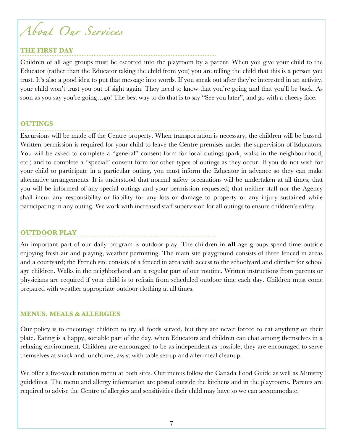# *About Our Services*

# **THE FIRST DAY**

Children of all age groups must be escorted into the playroom by a parent. When you give your child to the Educator (rather than the Educator taking the child from you) you are telling the child that this is a person you trust. It's also a good idea to put that message into words. If you sneak out after they're interested in an activity, your child won't trust you out of sight again. They need to know that you're going and that you'll be back. As soon as you say you're going…go! The best way to do that is to say "See you later", and go with a cheery face.

# **OUTINGS**

Excursions will be made off the Centre property. When transportation is necessary, the children will be bussed. Written permission is required for your child to leave the Centre premises under the supervision of Educators. You will be asked to complete a "general" consent form for local outings (park, walks in the neighbourhood, etc.) and to complete a "special" consent form for other types of outings as they occur. If you do not wish for your child to participate in a particular outing, you must inform the Educator in advance so they can make alternative arrangements. It is understood that normal safety precautions will be undertaken at all times; that you will be informed of any special outings and your permission requested; that neither staff nor the Agency shall incur any responsibility or liability for any loss or damage to property or any injury sustained while participating in any outing. We work with increased staff supervision for all outings to ensure children's safety.

# **OUTDOOR PLAY**

An important part of our daily program is outdoor play. The children in **all** age groups spend time outside enjoying fresh air and playing, weather permitting. The main site playground consists of three fenced in areas and a courtyard; the French site consists of a fenced in area with access to the schoolyard and climber for school age children. Walks in the neighborhood are a regular part of our routine. Written instructions from parents or physicians are required if your child is to refrain from scheduled outdoor time each day. Children must come prepared with weather appropriate outdoor clothing at all times.

# **MENUS, MEALS & ALLERGIES**

Our policy is to encourage children to try all foods served, but they are never forced to eat anything on their plate. Eating is a happy, sociable part of the day, when Educators and children can chat among themselves in a relaxing environment. Children are encouraged to be as independent as possible; they are encouraged to serve themselves at snack and lunchtime, assist with table set-up and after-meal cleanup.

We offer a five-week rotation menu at both sites. Our menus follow the Canada Food Guide as well as Ministry guidelines. The menu and allergy information are posted outside the kitchens and in the playrooms. Parents are required to advise the Centre of allergies and sensitivities their child may have so we can accommodate.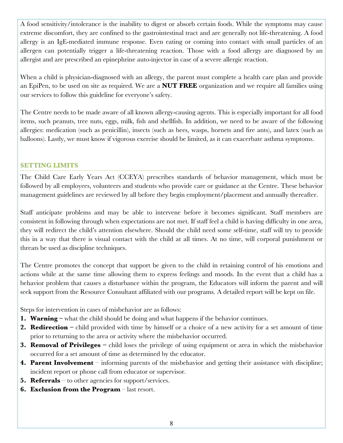A food sensitivity/intolerance is the inability to digest or absorb certain foods. While the symptoms may cause extreme discomfort, they are confined to the gastrointestinal tract and are generally not life-threatening. A food allergy is an IgE-mediated immune response. Even eating or coming into contact with small particles of an allergen can potentially trigger a life-threatening reaction. Those with a food allergy are diagnosed by an allergist and are prescribed an epinephrine auto-injector in case of a severe allergic reaction.

When a child is physician-diagnosed with an allergy, the parent must complete a health care plan and provide an EpiPen, to be used on site as required. We are a **NUT FREE** organization and we require all families using our services to follow this guideline for everyone's safety.

The Centre needs to be made aware of all known allergy-causing agents. This is especially important for all food items, such peanuts, tree nuts, eggs, milk, fish and shellfish. In addition, we need to be aware of the following allergies: medication (such as penicillin), insects (such as bees, wasps, hornets and fire ants), and latex (such as balloons). Lastly, we must know if vigorous exercise should be limited, as it can exacerbate asthma symptoms.

# **SETTING LIMITS**

The Child Care Early Years Act (CCEYA) prescribes standards of behavior management, which must be followed by all employees, volunteers and students who provide care or guidance at the Centre. These behavior management guidelines are reviewed by all before they begin employment/placement and annually thereafter.

Staff anticipate problems and may be able to intervene before it becomes significant. Staff members are consistent in following through when expectations are not met. If staff feel a child is having difficulty in one area, they will redirect the child's attention elsewhere. Should the child need some self-time, staff will try to provide this in a way that there is visual contact with the child at all times. At no time, will corporal punishment or threats be used as discipline techniques.

The Centre promotes the concept that support be given to the child in retaining control of his emotions and actions while at the same time allowing them to express feelings and moods. In the event that a child has a behavior problem that causes a disturbance within the program, the Educators will inform the parent and will seek support from the Resource Consultant affiliated with our programs. A detailed report will be kept on file.

Steps for intervention in cases of misbehavior are as follows:

- **1. Warning** what the child should be doing and what happens if the behavior continues.
- **2. Redirection –** child provided with time by himself or a choice of a new activity for a set amount of time prior to returning to the area or activity where the misbehavior occurred.
- **3. Removal of Privileges –** child loses the privilege of using equipment or area in which the misbehavior occurred for a set amount of time as determined by the educator.
- **4. Parent Involvement** informing parents of the misbehavior and getting their assistance with discipline; incident report or phone call from educator or supervisor.
- **5. Referrals**  to other agencies for support/services.
- **6. Exclusion from the Program** last resort.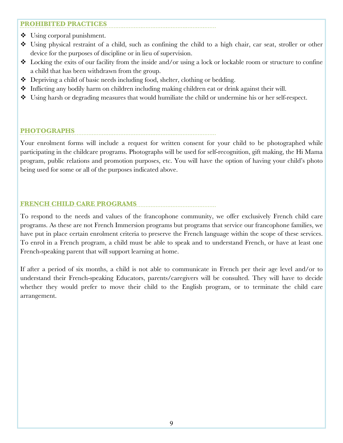# **PROHIBITED PRACTICES**

- $\triangleleft$  Using corporal punishment.
- v Using physical restraint of a child, such as confining the child to a high chair, car seat, stroller or other device for the purposes of discipline or in lieu of supervision.
- $\bullet$  Locking the exits of our facility from the inside and/or using a lock or lockable room or structure to confine a child that has been withdrawn from the group.
- $\bullet$  Depriving a child of basic needs including food, shelter, clothing or bedding.
- $\bullet$  Inflicting any bodily harm on children including making children eat or drink against their will.
- $\bullet$  Using harsh or degrading measures that would humiliate the child or undermine his or her self-respect.

# **PHOTOGRAPHS**

Your enrolment forms will include a request for written consent for your child to be photographed while participating in the childcare programs. Photographs will be used for self-recognition, gift making, the Hi Mama program, public relations and promotion purposes, etc. You will have the option of having your child's photo being used for some or all of the purposes indicated above.

# **FRENCH CHILD CARE PROGRAMS**

To respond to the needs and values of the francophone community, we offer exclusively French child care programs. As these are not French Immersion programs but programs that service our francophone families, we have put in place certain enrolment criteria to preserve the French language within the scope of these services. To enrol in a French program, a child must be able to speak and to understand French, or have at least one French-speaking parent that will support learning at home.

If after a period of six months, a child is not able to communicate in French per their age level and/or to understand their French-speaking Educators, parents/caregivers will be consulted. They will have to decide whether they would prefer to move their child to the English program, or to terminate the child care arrangement.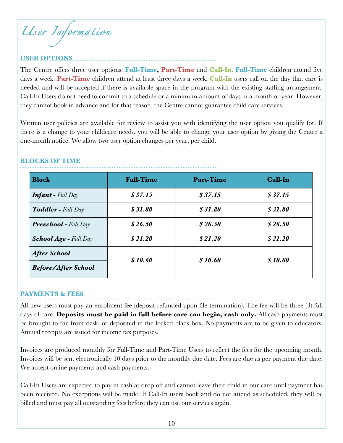*User Information* 

# **USER OPTIONS**

The Centre offers three user options: **Full-Time, Part-Time** and **Call-In**. **Full-Time** children attend five days a week. **Part-Time** children attend at least three days a week. **Call-In** users call on the day that care is needed and will be accepted if there is available space in the program with the existing staffing arrangement. Call-In Users do not need to commit to a schedule or a minimum amount of days in a month or year. However, they cannot book in advance and for that reason, the Centre cannot guarantee child care services.

Written user policies are available for review to assist you with identifying the user option you qualify for. If there is a change to your childcare needs, you will be able to change your user option by giving the Centre a one-month notice. We allow two user option changes per year, per child.

| <b>Block</b>                  | <b>Full-Time</b> | <b>Part-Time</b> | Call-In |
|-------------------------------|------------------|------------------|---------|
| <b>Infant</b> - Full $Day$    | \$37.15          | \$37.15          | \$37.15 |
| <b>Toddler - Full Day</b>     | \$31.80          | \$31.80          | \$31.80 |
| <b>Preschool</b> - Full $Day$ | \$26.50          | \$26.50          | \$26.50 |
| <b>School Age - Full Day</b>  | \$21.20          | \$21.20          | \$21.20 |
| <b>After School</b>           | \$10.60          | \$10.60          | \$10.60 |
| <b>Before/After School</b>    |                  |                  |         |

### **BLOCKS OF TIME**

#### **PAYMENTS & FEES**

All new users must pay an enrolment fee (deposit refunded upon file termination). The fee will be three (3) full days of care. **Deposits must be paid in full before care can begin, cash only.** All cash payments must be brought to the front desk, or deposited in the locked black box. No payments are to be given to educators. Annual receipts are issued for income tax purposes.

Invoices are produced monthly for Full-Time and Part-Time Users to reflect the fees for the upcoming month. Invoices will be sent electronically 10 days prior to the monthly due date. Fees are due as per payment due date. We accept online payments and cash payments.

Call-In Users are expected to pay in cash at drop off and cannot leave their child in our care until payment has been received. No exceptions will be made. If Call-In users book and do not attend as scheduled, they will be billed and must pay all outstanding fees before they can use our services again.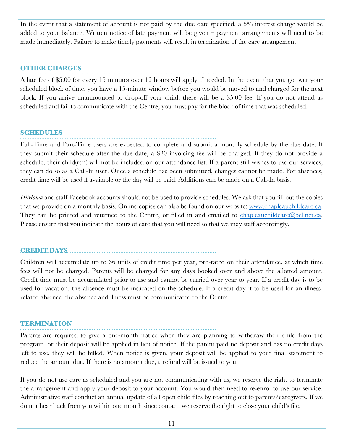In the event that a statement of account is not paid by the due date specified, a 5% interest charge would be added to your balance. Written notice of late payment will be given – payment arrangements will need to be made immediately. Failure to make timely payments will result in termination of the care arrangement.

#### **OTHER CHARGES**

A late fee of \$5.00 for every 15 minutes over 12 hours will apply if needed. In the event that you go over your scheduled block of time, you have a 15-minute window before you would be moved to and charged for the next block. If you arrive unannounced to drop-off your child, there will be a \$5.00 fee. If you do not attend as scheduled and fail to communicate with the Centre, you must pay for the block of time that was scheduled.

### **SCHEDULES**

Full-Time and Part-Time users are expected to complete and submit a monthly schedule by the due date. If they submit their schedule after the due date, a \$20 invoicing fee will be charged. If they do not provide a schedule, their child(ren) will not be included on our attendance list. If a parent still wishes to use our services, they can do so as a Call-In user. Once a schedule has been submitted, changes cannot be made. For absences, credit time will be used if available or the day will be paid. Additions can be made on a Call-In basis.

*HiMama* and staff Facebook accounts should not be used to provide schedules. We ask that you fill out the copies that we provide on a monthly basis. Online copies can also be found on our website: www.chapleauchildcare.ca. They can be printed and returned to the Centre, or filled in and emailed to chapleauchildcare@bellnet.ca. Please ensure that you indicate the hours of care that you will need so that we may staff accordingly.

# **CREDIT DAYS**

Children will accumulate up to 36 units of credit time per year, pro-rated on their attendance, at which time fees will not be charged. Parents will be charged for any days booked over and above the allotted amount. Credit time must be accumulated prior to use and cannot be carried over year to year. If a credit day is to be used for vacation, the absence must be indicated on the schedule. If a credit day it to be used for an illnessrelated absence, the absence and illness must be communicated to the Centre.

# **TERMINATION**

Parents are required to give a one-month notice when they are planning to withdraw their child from the program, or their deposit will be applied in lieu of notice. If the parent paid no deposit and has no credit days left to use, they will be billed. When notice is given, your deposit will be applied to your final statement to reduce the amount due. If there is no amount due, a refund will be issued to you.

If you do not use care as scheduled and you are not communicating with us, we reserve the right to terminate the arrangement and apply your deposit to your account. You would then need to re-enrol to use our service. Administrative staff conduct an annual update of all open child files by reaching out to parents/caregivers. If we do not hear back from you within one month since contact, we reserve the right to close your child's file.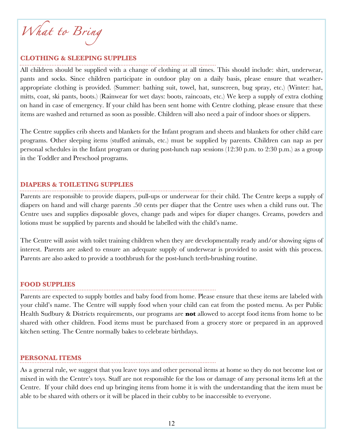What to Bring

#### **CLOTHING & SLEEPING SUPPLIES**

All children should be supplied with a change of clothing at all times. This should include: shirt, underwear, pants and socks. Since children participate in outdoor play on a daily basis, please ensure that weatherappropriate clothing is provided. (Summer: bathing suit, towel, hat, sunscreen, bug spray, etc.) (Winter: hat, mitts, coat, ski pants, boots.) (Rainwear for wet days: boots, raincoats, etc.) We keep a supply of extra clothing on hand in case of emergency. If your child has been sent home with Centre clothing, please ensure that these items are washed and returned as soon as possible. Children will also need a pair of indoor shoes or slippers.

The Centre supplies crib sheets and blankets for the Infant program and sheets and blankets for other child care programs. Other sleeping items (stuffed animals, etc.) must be supplied by parents. Children can nap as per personal schedules in the Infant program or during post-lunch nap sessions (12:30 p.m. to 2:30 p.m.) as a group in the Toddler and Preschool programs.

#### **DIAPERS & TOILETING SUPPLIES**

Parents are responsible to provide diapers, pull-ups or underwear for their child. The Centre keeps a supply of diapers on hand and will charge parents .50 cents per diaper that the Centre uses when a child runs out. The Centre uses and supplies disposable gloves, change pads and wipes for diaper changes. Creams, powders and lotions must be supplied by parents and should be labelled with the child's name.

The Centre will assist with toilet training children when they are developmentally ready and/or showing signs of interest. Parents are asked to ensure an adequate supply of underwear is provided to assist with this process. Parents are also asked to provide a toothbrush for the post-lunch teeth-brushing routine.

#### **FOOD SUPPLIES**

Parents are expected to supply bottles and baby food from home. Please ensure that these items are labeled with your child's name. The Centre will supply food when your child can eat from the posted menu. As per Public Health Sudbury & Districts requirements, our programs are **not** allowed to accept food items from home to be shared with other children. Food items must be purchased from a grocery store or prepared in an approved kitchen setting. The Centre normally bakes to celebrate birthdays.

#### **PERSONAL ITEMS**

As a general rule, we suggest that you leave toys and other personal items at home so they do not become lost or mixed in with the Centre's toys. Staff are not responsible for the loss or damage of any personal items left at the Centre. If your child does end up bringing items from home it is with the understanding that the item must be able to be shared with others or it will be placed in their cubby to be inaccessible to everyone.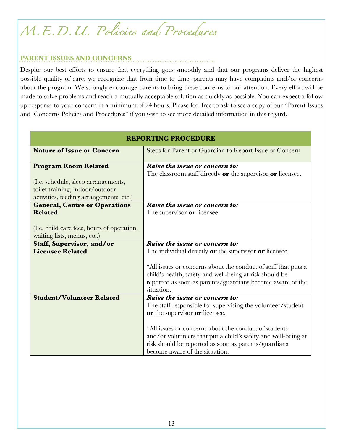# *M.E.D.U. Policies and Procedures*

# **PARENT ISSUES AND CONCERNS**

Despite our best efforts to ensure that everything goes smoothly and that our programs deliver the highest possible quality of care, we recognize that from time to time, parents may have complaints and/or concerns about the program. We strongly encourage parents to bring these concerns to our attention. Every effort will be made to solve problems and reach a mutually acceptable solution as quickly as possible. You can expect a follow up response to your concern in a minimum of 24 hours. Please feel free to ask to see a copy of our "Parent Issues and Concerns Policies and Procedures" if you wish to see more detailed information in this regard.

| <b>REPORTING PROCEDURE</b>                                                                  |                                                                                                                                                                                                                                                                                                                                                     |  |
|---------------------------------------------------------------------------------------------|-----------------------------------------------------------------------------------------------------------------------------------------------------------------------------------------------------------------------------------------------------------------------------------------------------------------------------------------------------|--|
| <b>Nature of Issue or Concern</b>                                                           | Steps for Parent or Guardian to Report Issue or Concern                                                                                                                                                                                                                                                                                             |  |
| <b>Program Room Related</b><br>(I.e. schedule, sleep arrangements,                          | Raise the issue or concern to:<br>The classroom staff directly $or$ the supervisor $or$ licensee.                                                                                                                                                                                                                                                   |  |
| toilet training, indoor/outdoor<br>activities, feeding arrangements, etc.)                  |                                                                                                                                                                                                                                                                                                                                                     |  |
| <b>General, Centre or Operations</b>                                                        | $\overline{Rais}$ the issue or concern to:                                                                                                                                                                                                                                                                                                          |  |
| <b>Related</b><br>(I.e. child care fees, hours of operation,<br>waiting lists, menus, etc.) | The supervisor or licensee.                                                                                                                                                                                                                                                                                                                         |  |
| <b>Staff, Supervisor, and/or</b>                                                            | Raise the issue or concern to:                                                                                                                                                                                                                                                                                                                      |  |
| <b>Licensee Related</b>                                                                     | The individual directly <b>or</b> the supervisor <b>or</b> licensee.<br>*All issues or concerns about the conduct of staff that puts a<br>child's health, safety and well-being at risk should be<br>reported as soon as parents/guardians become aware of the<br>situation.                                                                        |  |
| <b>Student/Volunteer Related</b>                                                            | Raise the issue or concern to:<br>The staff responsible for supervising the volunteer/student<br>or the supervisor or licensee.<br>*All issues or concerns about the conduct of students<br>and/or volunteers that put a child's safety and well-being at<br>risk should be reported as soon as parents/guardians<br>become aware of the situation. |  |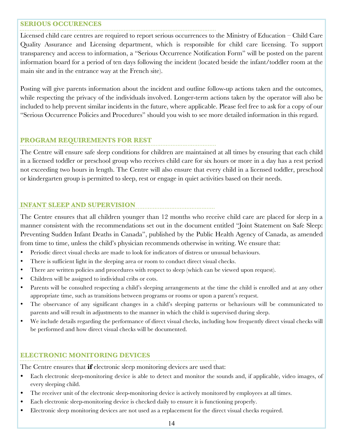#### **SERIOUS OCCURENCES**

Licensed child care centres are required to report serious occurrences to the Ministry of Education – Child Care Quality Assurance and Licensing department, which is responsible for child care licensing. To support transparency and access to information, a "Serious Occurrence Notification Form" will be posted on the parent information board for a period of ten days following the incident (located beside the infant/toddler room at the main site and in the entrance way at the French site).

Posting will give parents information about the incident and outline follow-up actions taken and the outcomes, while respecting the privacy of the individuals involved. Longer-term actions taken by the operator will also be included to help prevent similar incidents in the future, where applicable. Please feel free to ask for a copy of our "Serious Occurrence Policies and Procedures" should you wish to see more detailed information in this regard.

# **PROGRAM REQUIREMENTS FOR REST**

The Centre will ensure safe sleep conditions for children are maintained at all times by ensuring that each child in a licensed toddler or preschool group who receives child care for six hours or more in a day has a rest period not exceeding two hours in length. The Centre will also ensure that every child in a licensed toddler, preschool or kindergarten group is permitted to sleep, rest or engage in quiet activities based on their needs.

# **INFANT SLEEP AND SUPERVISION**

The Centre ensures that all children younger than 12 months who receive child care are placed for sleep in a manner consistent with the recommendations set out in the document entitled "Joint Statement on Safe Sleep: Preventing Sudden Infant Deaths in Canada", published by the Public Health Agency of Canada, as amended from time to time, unless the child's physician recommends otherwise in writing. We ensure that:

- Periodic direct visual checks are made to look for indicators of distress or unusual behaviours.
- There is sufficient light in the sleeping area or room to conduct direct visual checks.
- There are written policies and procedures with respect to sleep (which can be viewed upon request).
- Children will be assigned to individual cribs or cots.
- Parents will be consulted respecting a child's sleeping arrangements at the time the child is enrolled and at any other appropriate time, such as transitions between programs or rooms or upon a parent's request.
- The observance of any significant changes in a child's sleeping patterns or behaviours will be communicated to parents and will result in adjustments to the manner in which the child is supervised during sleep.
- We include details regarding the performance of direct visual checks, including how frequently direct visual checks will be performed and how direct visual checks will be documented.

### **ELECTRONIC MONITORING DEVICES**

The Centre ensures that **if** electronic sleep monitoring devices are used that:

- Each electronic sleep-monitoring device is able to detect and monitor the sounds and, if applicable, video images, of every sleeping child.
- The receiver unit of the electronic sleep-monitoring device is actively monitored by employees at all times.
- Each electronic sleep-monitoring device is checked daily to ensure it is functioning properly.
- Electronic sleep monitoring devices are not used as a replacement for the direct visual checks required.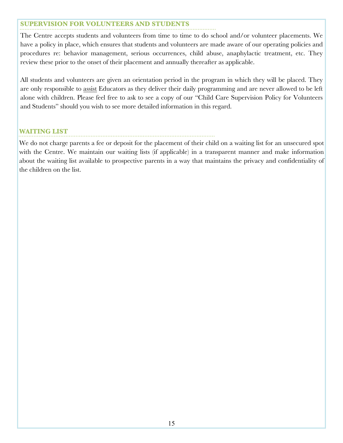# **SUPERVISION FOR VOLUNTEERS AND STUDENTS**

The Centre accepts students and volunteers from time to time to do school and/or volunteer placements. We have a policy in place, which ensures that students and volunteers are made aware of our operating policies and procedures re: behavior management, serious occurrences, child abuse, anaphylactic treatment, etc. They review these prior to the onset of their placement and annually thereafter as applicable.

All students and volunteers are given an orientation period in the program in which they will be placed. They are only responsible to assist Educators as they deliver their daily programming and are never allowed to be left alone with children. Please feel free to ask to see a copy of our "Child Care Supervision Policy for Volunteers and Students" should you wish to see more detailed information in this regard.

### **WAITING LIST**

We do not charge parents a fee or deposit for the placement of their child on a waiting list for an unsecured spot with the Centre. We maintain our waiting lists (if applicable) in a transparent manner and make information about the waiting list available to prospective parents in a way that maintains the privacy and confidentiality of the children on the list.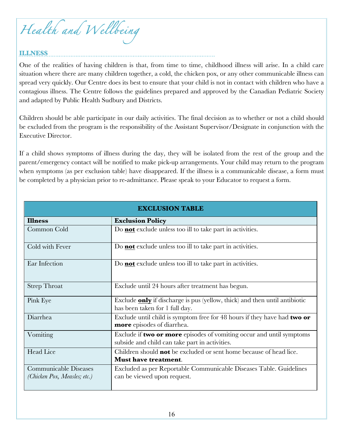*Health and Wellbeing* 

# **ILLNESS**

One of the realities of having children is that, from time to time, childhood illness will arise. In a child care situation where there are many children together, a cold, the chicken pox, or any other communicable illness can spread very quickly. Our Centre does its best to ensure that your child is not in contact with children who have a contagious illness. The Centre follows the guidelines prepared and approved by the Canadian Pediatric Society and adapted by Public Health Sudbury and Districts.

Children should be able participate in our daily activities. The final decision as to whether or not a child should be excluded from the program is the responsibility of the Assistant Supervisor/Designate in conjunction with the Executive Director.

If a child shows symptoms of illness during the day, they will be isolated from the rest of the group and the parent/emergency contact will be notified to make pick-up arrangements. Your child may return to the program when symptoms (as per exclusion table) have disappeared. If the illness is a communicable disease, a form must be completed by a physician prior to re-admittance. Please speak to your Educator to request a form.

| <b>EXCLUSION TABLE</b>                                       |                                                                                                                        |  |
|--------------------------------------------------------------|------------------------------------------------------------------------------------------------------------------------|--|
| <b>Illness</b>                                               | <b>Exclusion Policy</b>                                                                                                |  |
| Common Cold                                                  | Do <b>not</b> exclude unless too ill to take part in activities.                                                       |  |
| Cold with Fever                                              | Do not exclude unless too ill to take part in activities.                                                              |  |
| Ear Infection                                                | Do <b>not</b> exclude unless too ill to take part in activities.                                                       |  |
| <b>Strep Throat</b>                                          | Exclude until 24 hours after treatment has begun.                                                                      |  |
| Pink Eye                                                     | Exclude <b>only</b> if discharge is pus (yellow, thick) and then until antibiotic<br>has been taken for 1 full day.    |  |
| Diarrhea                                                     | Exclude until child is symptom free for 48 hours if they have had two or<br>more episodes of diarrhea.                 |  |
| Vomiting                                                     | Exclude if two or more episodes of vomiting occur and until symptoms<br>subside and child can take part in activities. |  |
| Head Lice                                                    | Children should <b>not</b> be excluded or sent home because of head lice.<br><b>Must have treatment.</b>               |  |
| <b>Communicable Diseases</b><br>(Chicken Pox, Measles; etc.) | Excluded as per Reportable Communicable Diseases Table. Guidelines<br>can be viewed upon request.                      |  |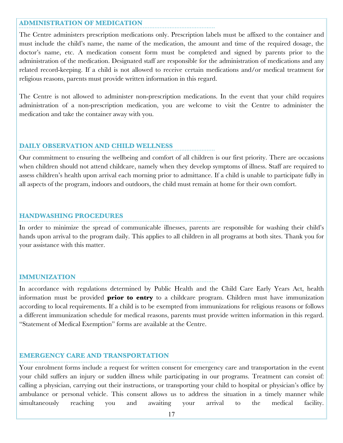#### **ADMINISTRATION OF MEDICATION**

The Centre administers prescription medications only. Prescription labels must be affixed to the container and must include the child's name, the name of the medication, the amount and time of the required dosage, the doctor's name, etc. A medication consent form must be completed and signed by parents prior to the administration of the medication. Designated staff are responsible for the administration of medications and any related record-keeping. If a child is not allowed to receive certain medications and/or medical treatment for religious reasons, parents must provide written information in this regard.

The Centre is not allowed to administer non-prescription medications. In the event that your child requires administration of a non-prescription medication, you are welcome to visit the Centre to administer the medication and take the container away with you.

#### **DAILY OBSERVATION AND CHILD WELLNESS**

Our commitment to ensuring the wellbeing and comfort of all children is our first priority. There are occasions when children should not attend childcare, namely when they develop symptoms of illness. Staff are required to assess children's health upon arrival each morning prior to admittance. If a child is unable to participate fully in all aspects of the program, indoors and outdoors, the child must remain at home for their own comfort.

#### **HANDWASHING PROCEDURES**

In order to minimize the spread of communicable illnesses, parents are responsible for washing their child's hands upon arrival to the program daily. This applies to all children in all programs at both sites. Thank you for your assistance with this matter.

#### **IMMUNIZATION**

In accordance with regulations determined by Public Health and the Child Care Early Years Act, health information must be provided **prior to entry** to a childcare program. Children must have immunization according to local requirements. If a child is to be exempted from immunizations for religious reasons or follows a different immunization schedule for medical reasons, parents must provide written information in this regard. "Statement of Medical Exemption" forms are available at the Centre.

#### **EMERGENCY CARE AND TRANSPORTATION**

Your enrolment forms include a request for written consent for emergency care and transportation in the event your child suffers an injury or sudden illness while participating in our programs. Treatment can consist of: calling a physician, carrying out their instructions, or transporting your child to hospital or physician's office by ambulance or personal vehicle. This consent allows us to address the situation in a timely manner while simultaneously reaching you and awaiting your arrival to the medical facility.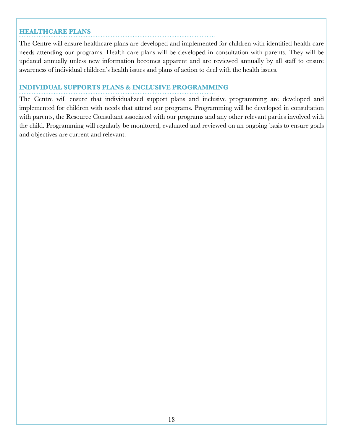#### **HEALTHCARE PLANS**

The Centre will ensure healthcare plans are developed and implemented for children with identified health care needs attending our programs. Health care plans will be developed in consultation with parents. They will be updated annually unless new information becomes apparent and are reviewed annually by all staff to ensure awareness of individual children's health issues and plans of action to deal with the health issues.

#### **INDIVIDUAL SUPPORTS PLANS & INCLUSIVE PROGRAMMING**

The Centre will ensure that individualized support plans and inclusive programming are developed and implemented for children with needs that attend our programs. Programming will be developed in consultation with parents, the Resource Consultant associated with our programs and any other relevant parties involved with the child. Programming will regularly be monitored, evaluated and reviewed on an ongoing basis to ensure goals and objectives are current and relevant.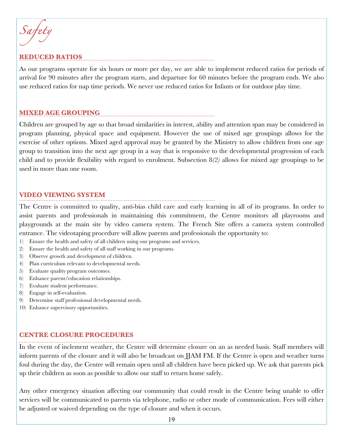*Safety* 

# **REDUCED RATIOS**

As our programs operate for six hours or more per day, we are able to implement reduced ratios for periods of arrival for 90 minutes after the program starts, and departure for 60 minutes before the program ends. We also use reduced ratios for nap time periods. We never use reduced ratios for Infants or for outdoor play time.

# **MIXED AGE GROUPING**

Children are grouped by age so that broad similarities in interest, ability and attention span may be considered in program planning, physical space and equipment. However the use of mixed age groupings allows for the exercise of other options. Mixed aged approval may be granted by the Ministry to allow children from one age group to transition into the next age group in a way that is responsive to the developmental progression of each child and to provide flexibility with regard to enrolment. Subsection 8*(2)* allows for mixed age groupings to be used in more than one room.

#### **VIDEO VIEWING SYSTEM**

The Centre is committed to quality, anti-bias child care and early learning in all of its programs. In order to assist parents and professionals in maintaining this commitment, the Centre monitors all playrooms and playgrounds at the main site by video camera system. The French Site offers a camera system controlled entrance. The videotaping procedure will allow parents and professionals the opportunity to:

- 1) Ensure the health and safety of all children using our programs and services.
- 2) Ensure the health and safety of all staff working in our programs.
- 3) Observe growth and development of children.
- 4) Plan curriculum relevant to developmental needs.
- 5) Evaluate quality program outcomes.
- 6) Enhance parent/education relationships.
- 7) Evaluate student performance.
- 8) Engage in self-evaluation.
- 9) Determine staff professional developmental needs.
- 10) Enhance supervisory opportunities.

### **CENTRE CLOSURE PROCEDURES**

In the event of inclement weather, the Centre will determine closure on an as needed basis. Staff members will inform parents of the closure and it will also be broadcast on JJAM FM. If the Centre is open and weather turns foul during the day, the Centre will remain open until all children have been picked up. We ask that parents pick up their children as soon as possible to allow our staff to return home safely.

Any other emergency situation affecting our community that could result in the Centre being unable to offer services will be communicated to parents via telephone, radio or other mode of communication. Fees will either be adjusted or waived depending on the type of closure and when it occurs.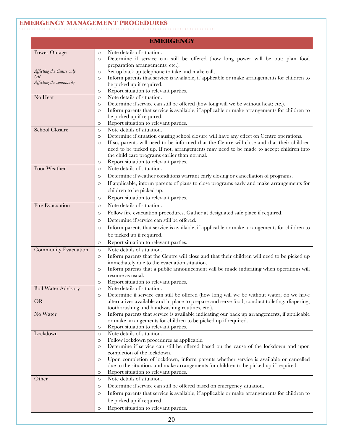# **EMERGENCY MANAGEMENT PROCEDURES**

| <b>EMERGENCY</b>                                                  |                                                                                                                                                                                                                                                                                                                                                                                                                                                                       |  |
|-------------------------------------------------------------------|-----------------------------------------------------------------------------------------------------------------------------------------------------------------------------------------------------------------------------------------------------------------------------------------------------------------------------------------------------------------------------------------------------------------------------------------------------------------------|--|
| Power Outage                                                      | Note details of situation.<br>$\circ$<br>Determine if service can still be offered (how long power will be out; plan food<br>$\circ$<br>preparation arrangements; etc.).                                                                                                                                                                                                                                                                                              |  |
| Affecting the Centre only<br><i>OR</i><br>Affecting the community | Set up back up telephone to take and make calls.<br>$\circ$<br>Inform parents that service is available, if applicable or make arrangements for children to<br>O<br>be picked up if required.<br>Report situation to relevant parties.<br>$\circ$                                                                                                                                                                                                                     |  |
| No Heat                                                           | Note details of situation.<br>$\circ$<br>Determine if service can still be offered (how long will we be without heat; etc.).<br>$\circ$<br>Inform parents that service is available, if applicable or make arrangements for children to<br>$\circ$<br>be picked up if required.<br>Report situation to relevant parties.<br>O                                                                                                                                         |  |
| <b>School Closure</b>                                             | Note details of situation.<br>$\circ$<br>Determine if situation causing school closure will have any effect on Centre operations.<br>$\circ$<br>If so, parents will need to be informed that the Centre will close and that their children<br>$\circ$<br>need to be picked up. If not, arrangements may need to be made to accept children into<br>the child care programs earlier than normal.<br>Report situation to relevant parties.<br>O                         |  |
| Poor Weather                                                      | Note details of situation.<br>$\circ$<br>Determine if weather conditions warrant early closing or cancellation of programs.<br>$\circ$<br>If applicable, inform parents of plans to close programs early and make arrangements for<br>$\circ$<br>children to be picked up.<br>Report situation to relevant parties.<br>$\circ$                                                                                                                                        |  |
| Fire Evacuation                                                   | Note details of situation.<br>$\circ$<br>Follow fire evacuation procedures. Gather at designated safe place if required.<br>$\circ$<br>Determine if service can still be offered.<br>$\circ$<br>Inform parents that service is available, if applicable or make arrangements for children to<br>$\circ$<br>be picked up if required.<br>Report situation to relevant parties.<br>O                                                                                    |  |
| Community Evacuation                                              | Note details of situation.<br>$\circ$<br>Inform parents that the Centre will close and that their children will need to be picked up<br>$\circ$<br>immediately due to the evacuation situation.<br>Inform parents that a public announcement will be made indicating when operations will<br>$\circ$<br>resume as usual.<br>Report situation to relevant parties.<br>O                                                                                                |  |
| <b>Boil Water Advisory</b><br><b>OR</b>                           | Note details of situation.<br>$\circ$<br>Determine if service can still be offered (how long will we be without water; do we have<br>$\circ$<br>alternatives available and in place to prepare and serve food, conduct toileting, diapering,                                                                                                                                                                                                                          |  |
| No Water                                                          | toothbrushing and handwashing routines, etc.).<br>Inform parents that service is available indicating our back up arrangements, if applicable<br>$\circ$<br>or make arrangements for children to be picked up if required.<br>Report situation to relevant parties.<br>O                                                                                                                                                                                              |  |
| Lockdown                                                          | Note details of situation.<br>$\circ$<br>Follow lockdown procedures as applicable.<br>$\circ$<br>Determine if service can still be offered based on the cause of the lockdown and upon<br>O<br>completion of the lockdown.<br>Upon completion of lockdown, inform parents whether service is available or cancelled<br>$\circ$<br>due to the situation, and make arrangements for children to be picked up if required.<br>Report situation to relevant parties.<br>O |  |
| Other                                                             | Note details of situation.<br>$\circ$<br>Determine if service can still be offered based on emergency situation.<br>$\circ$<br>Inform parents that service is available, if applicable or make arrangements for children to<br>$\circ$<br>be picked up if required.<br>Report situation to relevant parties.<br>O                                                                                                                                                     |  |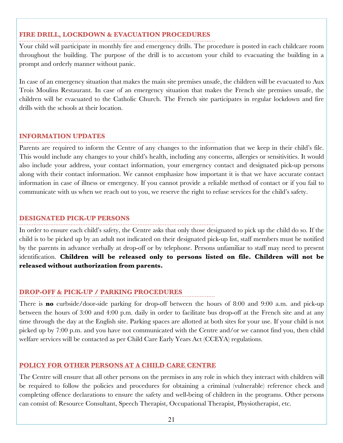# **FIRE DRILL, LOCKDOWN & EVACUATION PROCEDURES**

Your child will participate in monthly fire and emergency drills. The procedure is posted in each childcare room throughout the building. The purpose of the drill is to accustom your child to evacuating the building in a prompt and orderly manner without panic.

In case of an emergency situation that makes the main site premises unsafe, the children will be evacuated to Aux Trois Moulins Restaurant. In case of an emergency situation that makes the French site premises unsafe, the children will be evacuated to the Catholic Church. The French site participates in regular lockdown and fire drills with the schools at their location.

#### **INFORMATION UPDATES**

Parents are required to inform the Centre of any changes to the information that we keep in their child's file. This would include any changes to your child's health, including any concerns, allergies or sensitivities. It would also include your address, your contact information, your emergency contact and designated pick-up persons along with their contact information. We cannot emphasize how important it is that we have accurate contact information in case of illness or emergency. If you cannot provide a reliable method of contact or if you fail to communicate with us when we reach out to you, we reserve the right to refuse services for the child's safety.

#### **DESIGNATED PICK-UP PERSONS**

In order to ensure each child's safety, the Centre asks that only those designated to pick up the child do so. If the child is to be picked up by an adult not indicated on their designated pick-up list, staff members must be notified by the parents in advance verbally at drop-off or by telephone. Persons unfamiliar to staff may need to present identification. **Children will be released only to persons listed on file. Children will not be released without authorization from parents.**

# **DROP-OFF & PICK-UP / PARKING PROCEDURES**

There is **no** curbside/door-side parking for drop-off between the hours of 8:00 and 9:00 a.m. and pick-up between the hours of 3:00 and 4:00 p.m. daily in order to facilitate bus drop-off at the French site and at any time through the day at the English site. Parking spaces are allotted at both sites for your use. If your child is not picked up by 7:00 p.m. and you have not communicated with the Centre and/or we cannot find you, then child welfare services will be contacted as per Child Care Early Years Act (CCEYA) regulations.

### **POLICY FOR OTHER PERSONS AT A CHILD CARE CENTRE**

The Centre will ensure that all other persons on the premises in any role in which they interact with children will be required to follow the policies and procedures for obtaining a criminal (vulnerable) reference check and completing offence declarations to ensure the safety and well-being of children in the programs. Other persons can consist of: Resource Consultant, Speech Therapist, Occupational Therapist, Physiotherapist, etc.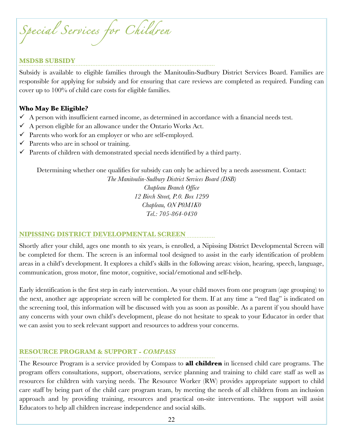*Special Services for Children* 

#### **MSDSB SUBSIDY**

Subsidy is available to eligible families through the Manitoulin-Sudbury District Services Board. Families are responsible for applying for subsidy and for ensuring that care reviews are completed as required. Funding can cover up to 100% of child care costs for eligible families.

#### **Who May Be Eligible?**

- $\checkmark$  A person with insufficient earned income, as determined in accordance with a financial needs test.
- $\checkmark$  A person eligible for an allowance under the Ontario Works Act.
- $\checkmark$  Parents who work for an employer or who are self-employed.
- $\checkmark$  Parents who are in school or training.
- $\checkmark$  Parents of children with demonstrated special needs identified by a third party.

Determining whether one qualifies for subsidy can only be achieved by a needs assessment. Contact:

*The Manitoulin-Sudbury District Services Board (DSB) Chapleau Branch Office 12 Birch Street, P.0. Box 1299 Chapleau, ON P0M1K0 Tel.: 705-864-0430*

### **NIPISSING DISTRICT DEVELOPMENTAL SCREEN**

Shortly after your child, ages one month to six years, is enrolled, a Nipissing District Developmental Screen will be completed for them. The screen is an informal tool designed to assist in the early identification of problem areas in a child's development. It explores a child's skills in the following areas: vision, hearing, speech, language, communication, gross motor, fine motor, cognitive, social/emotional and self-help.

Early identification is the first step in early intervention. As your child moves from one program (age grouping) to the next, another age appropriate screen will be completed for them. If at any time a "red flag" is indicated on the screening tool, this information will be discussed with you as soon as possible. As a parent if you should have any concerns with your own child's development, please do not hesitate to speak to your Educator in order that we can assist you to seek relevant support and resources to address your concerns.

### **RESOURCE PROGRAM & SUPPORT -** *COMPASS*

The Resource Program is a service provided by Compass to **all children** in licensed child care programs. The program offers consultations, support, observations, service planning and training to child care staff as well as resources for children with varying needs. The Resource Worker (RW) provides appropriate support to child care staff by being part of the child care program team, by meeting the needs of all children from an inclusion approach and by providing training, resources and practical on-site interventions. The support will assist Educators to help all children increase independence and social skills.